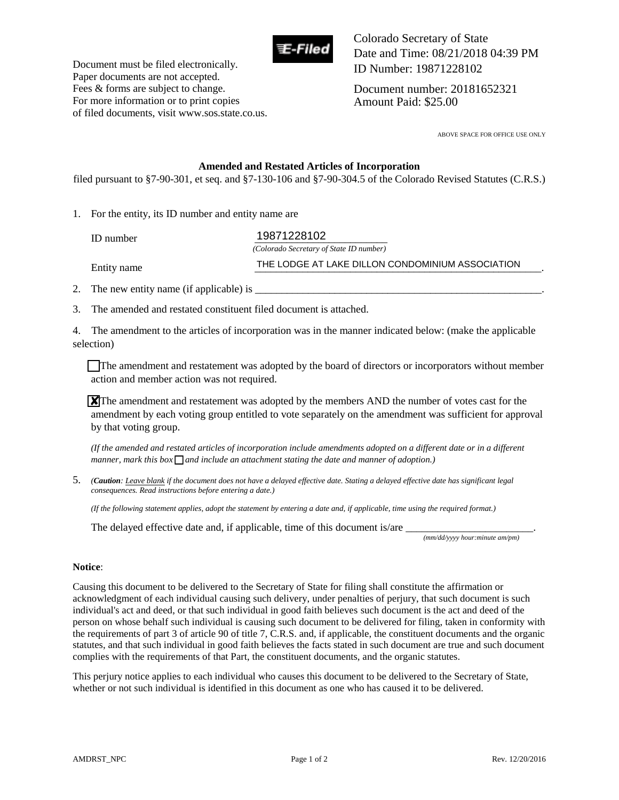

Document must be filed electronically. Paper documents are not accepted. Fees & forms are subject to change. For more information or to print copies of filed documents, visit www.sos.state.co.us. Colorado Secretary of State Date and Time: 08/21/2018 04:39 PM ID Number: 19871228102

Document number: 20181652321 Amount Paid: \$25.00

ABOVE SPACE FOR OFFICE USE ONLY

#### **Amended and Restated Articles of Incorporation**

filed pursuant to §7-90-301, et seq. and §7-130-106 and §7-90-304.5 of the Colorado Revised Statutes (C.R.S.)

1. For the entity, its ID number and entity name are

| ID number   | 19871228102                                      |
|-------------|--------------------------------------------------|
|             | (Colorado Secretary of State ID number)          |
| Entity name | THE LODGE AT LAKE DILLON CONDOMINIUM ASSOCIATION |

2. The new entity name (if applicable) is \_\_\_\_\_\_\_\_\_\_\_\_\_\_\_\_\_\_\_\_\_\_\_\_\_\_\_\_\_\_\_\_\_\_\_\_\_\_\_\_\_\_\_\_\_\_\_\_\_\_\_\_\_\_.

3. The amended and restated constituent filed document is attached.

4. The amendment to the articles of incorporation was in the manner indicated below: (make the applicable selection)

The amendment and restatement was adopted by the board of directors or incorporators without member action and member action was not required.

 $\chi$ <sup>T</sup>he amendment and restatement was adopted by the members AND the number of votes cast for the amendment by each voting group entitled to vote separately on the amendment was sufficient for approval by that voting group.

*(If the amended and restated articles of incorporation include amendments adopted on a different date or in a different manner, mark this box*  $\bigcap$  *and include an attachment stating the date and manner of adoption.)* 

5. *(Caution: Leave blank if the document does not have a delayed effective date. Stating a delayed effective date has significant legal consequences. Read instructions before entering a date.)* 

*(If the following statement applies, adopt the statement by entering a date and, if applicable, time using the required format.)* 

The delayed effective date and, if applicable, time of this document is/are

 *(mm/dd/yyyy hour:minute am/pm)* 

#### **Notice**:

Causing this document to be delivered to the Secretary of State for filing shall constitute the affirmation or acknowledgment of each individual causing such delivery, under penalties of perjury, that such document is such individual's act and deed, or that such individual in good faith believes such document is the act and deed of the person on whose behalf such individual is causing such document to be delivered for filing, taken in conformity with the requirements of part 3 of article 90 of title 7, C.R.S. and, if applicable, the constituent documents and the organic statutes, and that such individual in good faith believes the facts stated in such document are true and such document complies with the requirements of that Part, the constituent documents, and the organic statutes.

This perjury notice applies to each individual who causes this document to be delivered to the Secretary of State, whether or not such individual is identified in this document as one who has caused it to be delivered.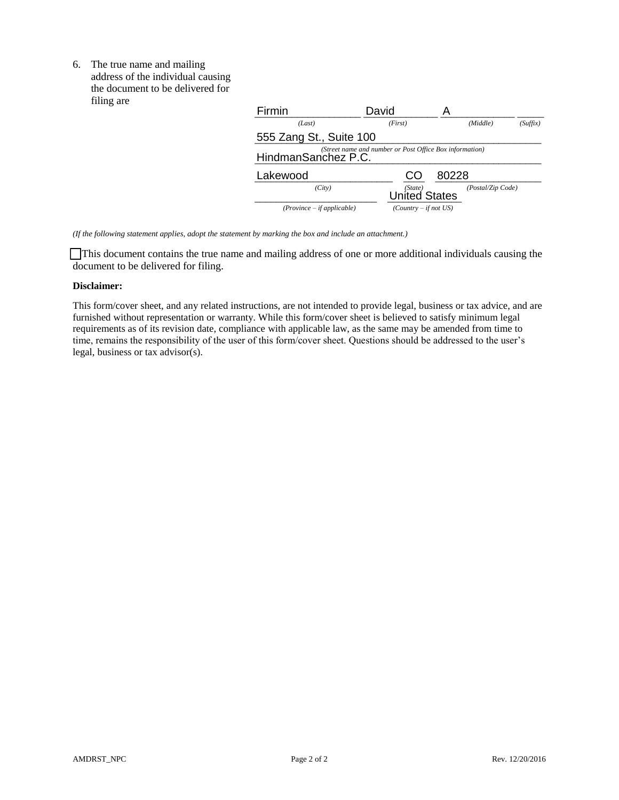6. The true name and mailing address of the individual causing the document to be delivered for filing are

| ming are | Firmin                       | David                                                   |                   |          |
|----------|------------------------------|---------------------------------------------------------|-------------------|----------|
|          | (Last)                       | (First)                                                 | (Middle)          | (Suffix) |
|          | 555 Zang St., Suite 100      |                                                         |                   |          |
|          | HindmanSanchez P.C.          | (Street name and number or Post Office Box information) |                   |          |
|          | Lakewood                     | CO                                                      | 80228             |          |
|          | (City)                       | (State)<br><b>United States</b>                         | (Postal/Zip Code) |          |
|          | $(Province - if applicable)$ | $(Country - if not US)$                                 |                   |          |

*(If the following statement applies, adopt the statement by marking the box and include an attachment.)* 

 This document contains the true name and mailing address of one or more additional individuals causing the document to be delivered for filing.

#### **Disclaimer:**

This form/cover sheet, and any related instructions, are not intended to provide legal, business or tax advice, and are furnished without representation or warranty. While this form/cover sheet is believed to satisfy minimum legal requirements as of its revision date, compliance with applicable law, as the same may be amended from time to time, remains the responsibility of the user of this form/cover sheet. Questions should be addressed to the user's legal, business or tax advisor(s).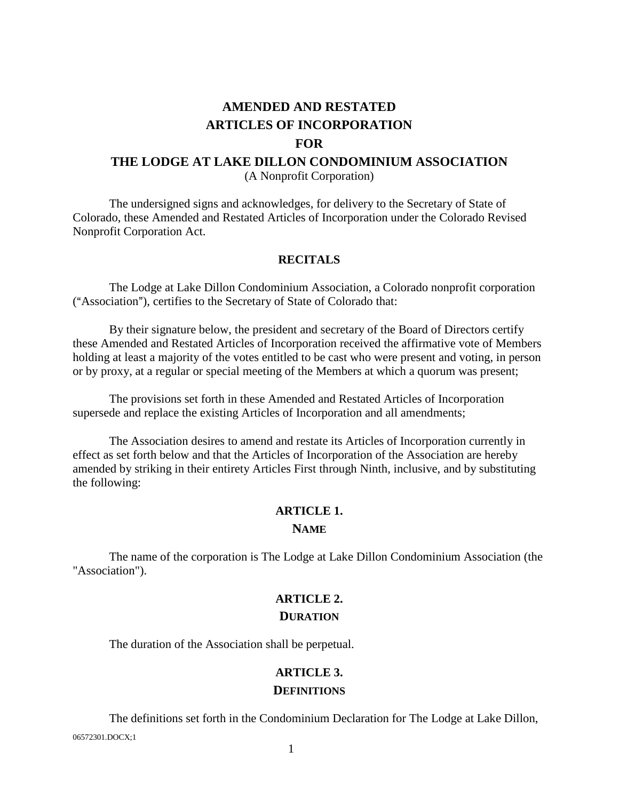# **AMENDED AND RESTATED ARTICLES OF INCORPORATION FOR THE LODGE AT LAKE DILLON CONDOMINIUM ASSOCIATION** (A Nonprofit Corporation)

The undersigned signs and acknowledges, for delivery to the Secretary of State of Colorado, these Amended and Restated Articles of Incorporation under the Colorado Revised Nonprofit Corporation Act.

## **RECITALS**

The Lodge at Lake Dillon Condominium Association, a Colorado nonprofit corporation ("Association"), certifies to the Secretary of State of Colorado that:

By their signature below, the president and secretary of the Board of Directors certify these Amended and Restated Articles of Incorporation received the affirmative vote of Members holding at least a majority of the votes entitled to be cast who were present and voting, in person or by proxy, at a regular or special meeting of the Members at which a quorum was present;

The provisions set forth in these Amended and Restated Articles of Incorporation supersede and replace the existing Articles of Incorporation and all amendments;

The Association desires to amend and restate its Articles of Incorporation currently in effect as set forth below and that the Articles of Incorporation of the Association are hereby amended by striking in their entirety Articles First through Ninth, inclusive, and by substituting the following:

# **ARTICLE 1. NAME**

The name of the corporation is The Lodge at Lake Dillon Condominium Association (the "Association").

## **ARTICLE 2. DURATION**

The duration of the Association shall be perpetual.

# **ARTICLE 3.**

## **DEFINITIONS**

06572301.DOCX;1 The definitions set forth in the Condominium Declaration for The Lodge at Lake Dillon,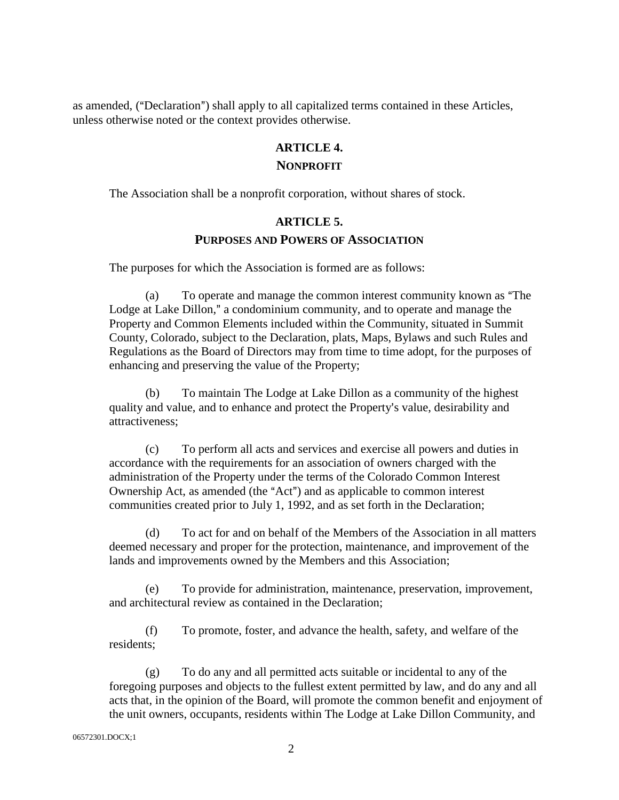as amended, ("Declaration") shall apply to all capitalized terms contained in these Articles, unless otherwise noted or the context provides otherwise.

# **ARTICLE 4. NONPROFIT**

The Association shall be a nonprofit corporation, without shares of stock.

# **ARTICLE 5.**

# **PURPOSES AND POWERS OF ASSOCIATION**

The purposes for which the Association is formed are as follows:

(a) To operate and manage the common interest community known as "The Lodge at Lake Dillon," a condominium community, and to operate and manage the Property and Common Elements included within the Community, situated in Summit County, Colorado, subject to the Declaration, plats, Maps, Bylaws and such Rules and Regulations as the Board of Directors may from time to time adopt, for the purposes of enhancing and preserving the value of the Property;

(b) To maintain The Lodge at Lake Dillon as a community of the highest quality and value, and to enhance and protect the Property's value, desirability and attractiveness;

(c) To perform all acts and services and exercise all powers and duties in accordance with the requirements for an association of owners charged with the administration of the Property under the terms of the Colorado Common Interest Ownership Act, as amended (the "Act") and as applicable to common interest communities created prior to July 1, 1992, and as set forth in the Declaration;

(d) To act for and on behalf of the Members of the Association in all matters deemed necessary and proper for the protection, maintenance, and improvement of the lands and improvements owned by the Members and this Association;

(e) To provide for administration, maintenance, preservation, improvement, and architectural review as contained in the Declaration;

(f) To promote, foster, and advance the health, safety, and welfare of the residents;

(g) To do any and all permitted acts suitable or incidental to any of the foregoing purposes and objects to the fullest extent permitted by law, and do any and all acts that, in the opinion of the Board, will promote the common benefit and enjoyment of the unit owners, occupants, residents within The Lodge at Lake Dillon Community, and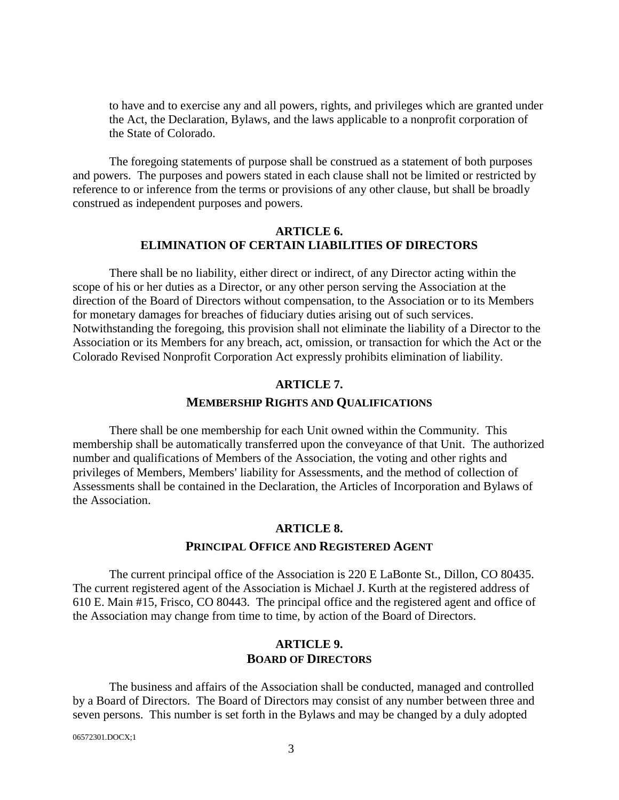to have and to exercise any and all powers, rights, and privileges which are granted under the Act, the Declaration, Bylaws, and the laws applicable to a nonprofit corporation of the State of Colorado.

The foregoing statements of purpose shall be construed as a statement of both purposes and powers. The purposes and powers stated in each clause shall not be limited or restricted by reference to or inference from the terms or provisions of any other clause, but shall be broadly construed as independent purposes and powers.

## **ARTICLE 6. ELIMINATION OF CERTAIN LIABILITIES OF DIRECTORS**

There shall be no liability, either direct or indirect, of any Director acting within the scope of his or her duties as a Director, or any other person serving the Association at the direction of the Board of Directors without compensation, to the Association or to its Members for monetary damages for breaches of fiduciary duties arising out of such services. Notwithstanding the foregoing, this provision shall not eliminate the liability of a Director to the Association or its Members for any breach, act, omission, or transaction for which the Act or the Colorado Revised Nonprofit Corporation Act expressly prohibits elimination of liability.

# **ARTICLE 7. MEMBERSHIP RIGHTS AND QUALIFICATIONS**

There shall be one membership for each Unit owned within the Community. This membership shall be automatically transferred upon the conveyance of that Unit. The authorized number and qualifications of Members of the Association, the voting and other rights and privileges of Members, Members' liability for Assessments, and the method of collection of Assessments shall be contained in the Declaration, the Articles of Incorporation and Bylaws of the Association.

# **ARTICLE 8.**

## **PRINCIPAL OFFICE AND REGISTERED AGENT**

The current principal office of the Association is 220 E LaBonte St., Dillon, CO 80435. The current registered agent of the Association is Michael J. Kurth at the registered address of 610 E. Main #15, Frisco, CO 80443. The principal office and the registered agent and office of the Association may change from time to time, by action of the Board of Directors.

# **ARTICLE 9. BOARD OF DIRECTORS**

The business and affairs of the Association shall be conducted, managed and controlled by a Board of Directors. The Board of Directors may consist of any number between three and seven persons. This number is set forth in the Bylaws and may be changed by a duly adopted

06572301.DOCX;1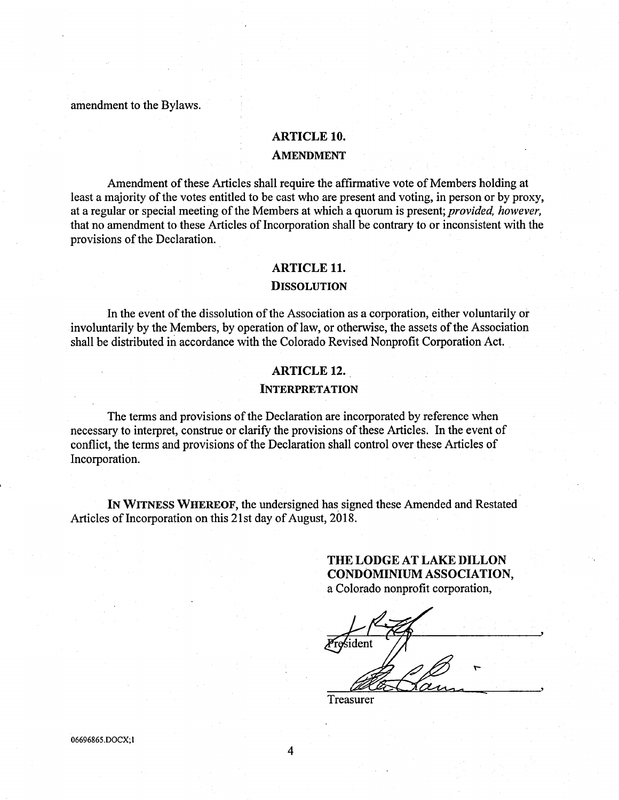amendment to the Bylaws.

#### ARTICLE 10.

### AMENDMENT

Amendment of these Articles shall require the affirmative vote of Members holding at least a majority of the votes entitled to be cast who are present and voting, in person or by proxy, at a regular or special meeting of the Members at which a quorum is present; provided, however, that no amendment to these Articles of Incorporation shall be contrary to or inconsistent with the provisions of the Declaration.

## ARTICLE 1L

#### **DISSOLUTION**

In the event of the dissolution of the Association as a corporation, either voluntarily or involuntarily by the Members, by operation of law, or otherwise, the assets of the Association shall be distributed in accordance with the Colorado Revised Nonprofit Corporation Act.

#### ARTICLE 12.

## INTERPRETATION

The terms and provisions of the Declaration are incorporated by reference when necessary to interpret, construe or clarify the provisions of these Articles. In the event of conflict, the terms and provisions of the Declaration shall control over these Articles of Incorporation.

IN WITNESS WHEREOF, the undersigned has signed these Amended and Restated Articles of Incorporation on this 21st day of August, 2018.

> THE LODGE AT LAKE DILLON CONDOMINIUM ASSOCIATION, a Colorado nonprofit corparation,

President

Treasurer

06696865.DOCX; I